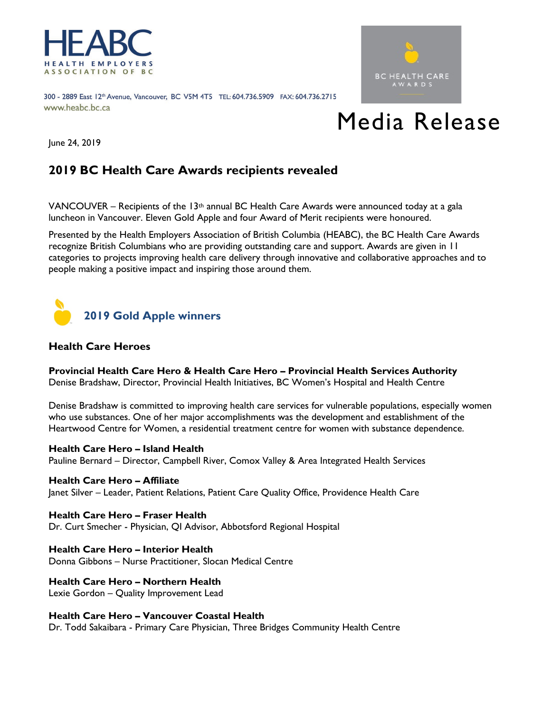

300 - 2889 East 12th Avenue, Vancouver, BC V5M 4T5 TEL: 604.736.5909 FAX: 604.736.2715 www.heabc.bc.ca



# Media Release

June 24, 2019

# **2019 BC Health Care Awards recipients revealed**

VANCOUVER – Recipients of the 13<sup>th</sup> annual BC Health Care Awards were announced today at a gala luncheon in Vancouver. Eleven Gold Apple and four Award of Merit recipients were honoured.

Presented by the Health Employers Association of British Columbia (HEABC), the BC Health Care Awards recognize British Columbians who are providing outstanding care and support. Awards are given in 11 categories to projects improving health care delivery through innovative and collaborative approaches and to people making a positive impact and inspiring those around them.



# **Health Care Heroes**

**Provincial Health Care Hero & Health Care Hero – Provincial Health Services Authority** Denise Bradshaw, Director, Provincial Health Initiatives, BC Women's Hospital and Health Centre

Denise Bradshaw is committed to improving health care services for vulnerable populations, especially women who use substances. One of her major accomplishments was the development and establishment of the Heartwood Centre for Women, a residential treatment centre for women with substance dependence.

# **Health Care Hero – Island Health**

Pauline Bernard – Director, Campbell River, Comox Valley & Area Integrated Health Services

#### **Health Care Hero – Affiliate**

Janet Silver – Leader, Patient Relations, Patient Care Quality Office, Providence Health Care

**Health Care Hero – Fraser Health** Dr. Curt Smecher - Physician, QI Advisor, Abbotsford Regional Hospital

**Health Care Hero – Interior Health**  Donna Gibbons – Nurse Practitioner, Slocan Medical Centre

# **Health Care Hero – Northern Health**

Lexie Gordon – Quality Improvement Lead

**Health Care Hero – Vancouver Coastal Health**

Dr. Todd Sakaibara - Primary Care Physician, Three Bridges Community Health Centre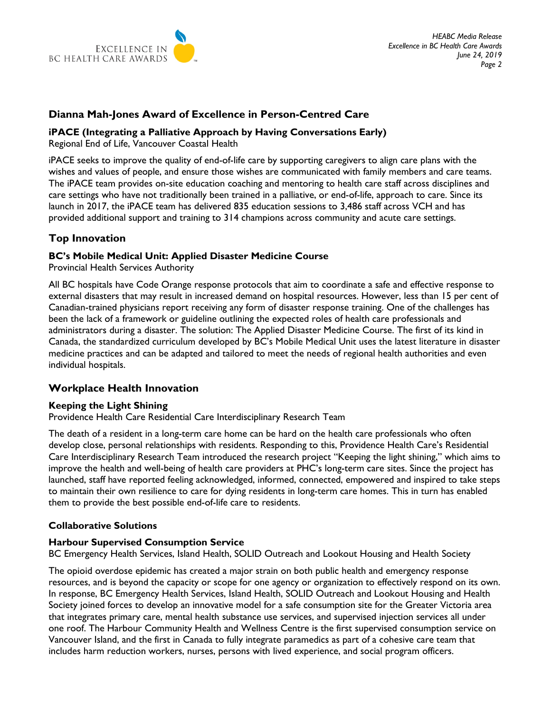

# **Dianna Mah-Jones Award of Excellence in Person-Centred Care**

# **iPACE (Integrating a Palliative Approach by Having Conversations Early)**

Regional End of Life, Vancouver Coastal Health

iPACE seeks to improve the quality of end-of-life care by supporting caregivers to align care plans with the wishes and values of people, and ensure those wishes are communicated with family members and care teams. The iPACE team provides on-site education coaching and mentoring to health care staff across disciplines and care settings who have not traditionally been trained in a palliative, or end-of-life, approach to care. Since its launch in 2017, the iPACE team has delivered 835 education sessions to 3,486 staff across VCH and has provided additional support and training to 314 champions across community and acute care settings.

# **Top Innovation**

# **BC's Mobile Medical Unit: Applied Disaster Medicine Course**

Provincial Health Services Authority

All BC hospitals have Code Orange response protocols that aim to coordinate a safe and effective response to external disasters that may result in increased demand on hospital resources. However, less than 15 per cent of Canadian-trained physicians report receiving any form of disaster response training. One of the challenges has been the lack of a framework or guideline outlining the expected roles of health care professionals and administrators during a disaster. The solution: The Applied Disaster Medicine Course. The first of its kind in Canada, the standardized curriculum developed by BC's Mobile Medical Unit uses the latest literature in disaster medicine practices and can be adapted and tailored to meet the needs of regional health authorities and even individual hospitals.

# **Workplace Health Innovation**

# **Keeping the Light Shining**

Providence Health Care Residential Care Interdisciplinary Research Team

The death of a resident in a long-term care home can be hard on the health care professionals who often develop close, personal relationships with residents. Responding to this, Providence Health Care's Residential Care Interdisciplinary Research Team introduced the research project "Keeping the light shining," which aims to improve the health and well-being of health care providers at PHC's long-term care sites. Since the project has launched, staff have reported feeling acknowledged, informed, connected, empowered and inspired to take steps to maintain their own resilience to care for dying residents in long-term care homes. This in turn has enabled them to provide the best possible end-of-life care to residents.

# **Collaborative Solutions**

# **Harbour Supervised Consumption Service**

BC Emergency Health Services, Island Health, SOLID Outreach and Lookout Housing and Health Society

The opioid overdose epidemic has created a major strain on both public health and emergency response resources, and is beyond the capacity or scope for one agency or organization to effectively respond on its own. In response, BC Emergency Health Services, Island Health, SOLID Outreach and Lookout Housing and Health Society joined forces to develop an innovative model for a safe consumption site for the Greater Victoria area that integrates primary care, mental health substance use services, and supervised injection services all under one roof. The Harbour Community Health and Wellness Centre is the first supervised consumption service on Vancouver Island, and the first in Canada to fully integrate paramedics as part of a cohesive care team that includes harm reduction workers, nurses, persons with lived experience, and social program officers.